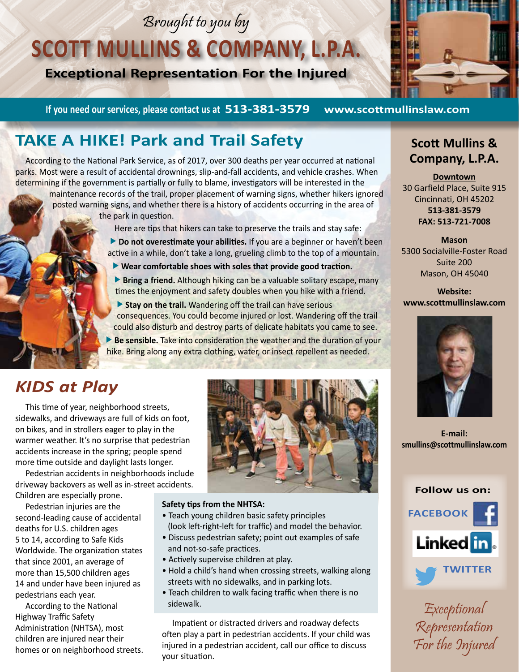# Brought to you by

# **SCOTT MULLINS & COMPANY, L.P.A.**

**Exceptional Representation For the Injured**



**If you need our services, please contact us at 513-381-3579 www.scottmullinslaw.com**

# **TAKE A HIKE! Park and Trail Safety**

According to the National Park Service, as of 2017, over 300 deaths per year occurred at national parks. Most were a result of accidental drownings, slip-and-fall accidents, and vehicle crashes. When determining if the government is partially or fully to blame, investigators will be interested in the

maintenance records of the trail, proper placement of warning signs, whether hikers ignored posted warning signs, and whether there is a history of accidents occurring in the area of the park in question.

Here are tips that hikers can take to preserve the trails and stay safe:

**Do not overestimate your abilities.** If you are a beginner or haven't been active in a while, don't take a long, grueling climb to the top of a mountain.

- **Wear comfortable shoes with soles that provide good traction.**
- **Bring a friend.** Although hiking can be a valuable solitary escape, many times the enjoyment and safety doubles when you hike with a friend.
- **Stay on the trail.** Wandering off the trail can have serious consequences. You could become injured or lost. Wandering off the trail could also disturb and destroy parts of delicate habitats you came to see.
- **Be sensible.** Take into consideration the weather and the duration of your hike. Bring along any extra clothing, water, or insect repellent as needed.

## *KIDS at Play*

This time of year, neighborhood streets, sidewalks, and driveways are full of kids on foot, on bikes, and in strollers eager to play in the warmer weather. It's no surprise that pedestrian accidents increase in the spring; people spend more time outside and daylight lasts longer.

Pedestrian accidents in neighborhoods include driveway backovers as well as in-street accidents. Children are especially prone.

Pedestrian injuries are the second-leading cause of accidental deaths for U.S. children ages 5 to 14, according to Safe Kids Worldwide. The organization states that since 2001, an average of more than 15,500 children ages 14 and under have been injured as pedestrians each year.

According to the National Highway Traffic Safety Administration (NHTSA), most children are injured near their homes or on neighborhood streets.



#### **Safety tips from the NHTSA:**

- Teach young children basic safety principles (look left-right-left for traffic) and model the behavior.
- Discuss pedestrian safety; point out examples of safe and not-so-safe practices.
- Actively supervise children at play.
- Hold a child's hand when crossing streets, walking along streets with no sidewalks, and in parking lots.
- Teach children to walk facing traffic when there is no sidewalk.

Impatient or distracted drivers and roadway defects often play a part in pedestrian accidents. If your child was injured in a pedestrian accident, call our office to discuss your situation.

#### **Scott Mullins & Company, L.P.A.**

**Downtown** 30 Garfield Place, Suite 915 Cincinnati, OH 45202 **513-381-3579 FAX: 513-721-7008**

**Mason** 5300 Socialville-Foster Road Suite 200 Mason, OH 45040

**Website: www.scottmullinslaw.com**



**E-mail: smullins@scottmullinslaw.com**



Exceptional Representation For the Injured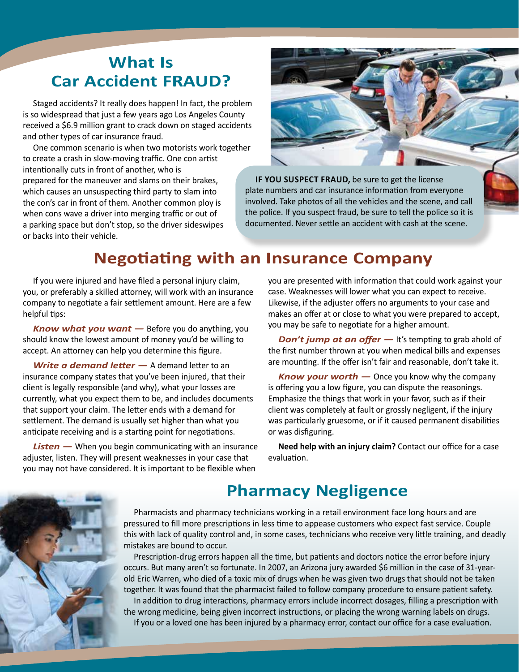## **What Is Car Accident FRAUD?**

Staged accidents? It really does happen! In fact, the problem is so widespread that just a few years ago Los Angeles County received a \$6.9 million grant to crack down on staged accidents and other types of car insurance fraud.

One common scenario is when two motorists work together to create a crash in slow-moving traffic. One con artist intentionally cuts in front of another, who is prepared for the maneuver and slams on their brakes, which causes an unsuspecting third party to slam into the con's car in front of them. Another common ploy is when cons wave a driver into merging traffic or out of a parking space but don't stop, so the driver sideswipes or backs into their vehicle.



**IF YOU SUSPECT FRAUD,** be sure to get the license plate numbers and car insurance information from everyone involved. Take photos of all the vehicles and the scene, and call the police. If you suspect fraud, be sure to tell the police so it is documented. Never settle an accident with cash at the scene.

### **Negotiating with an Insurance Company**

If you were injured and have filed a personal injury claim, you, or preferably a skilled attorney, will work with an insurance company to negotiate a fair settlement amount. Here are a few helpful tips:

*Know what you want —* Before you do anything, you should know the lowest amount of money you'd be willing to accept. An attorney can help you determine this figure.

*Write a demand letter —* A demand letter to an insurance company states that you've been injured, that their client is legally responsible (and why), what your losses are currently, what you expect them to be, and includes documents that support your claim. The letter ends with a demand for settlement. The demand is usually set higher than what you anticipate receiving and is a starting point for negotiations.

**Listen** — When you begin communicating with an insurance adjuster, listen. They will present weaknesses in your case that you may not have considered. It is important to be flexible when

you are presented with information that could work against your case. Weaknesses will lower what you can expect to receive. Likewise, if the adjuster offers no arguments to your case and makes an offer at or close to what you were prepared to accept, you may be safe to negotiate for a higher amount.

*Don't jump at an offer* — It's tempting to grab ahold of the first number thrown at you when medical bills and expenses are mounting. If the offer isn't fair and reasonable, don't take it.

*Know your worth —* Once you know why the company is offering you a low figure, you can dispute the reasonings. Emphasize the things that work in your favor, such as if their client was completely at fault or grossly negligent, if the injury was particularly gruesome, or if it caused permanent disabilities or was disfiguring.

**Need help with an injury claim?** Contact our office for a case evaluation.

### **Pharmacy Negligence**

Pharmacists and pharmacy technicians working in a retail environment face long hours and are pressured to fill more prescriptions in less time to appease customers who expect fast service. Couple this with lack of quality control and, in some cases, technicians who receive very little training, and deadly mistakes are bound to occur.

Prescription-drug errors happen all the time, but patients and doctors notice the error before injury occurs. But many aren't so fortunate. In 2007, an Arizona jury awarded \$6 million in the case of 31-yearold Eric Warren, who died of a toxic mix of drugs when he was given two drugs that should not be taken together. It was found that the pharmacist failed to follow company procedure to ensure patient safety. In addition to drug interactions, pharmacy errors include incorrect dosages, filling a prescription with the wrong medicine, being given incorrect instructions, or placing the wrong warning labels on drugs. If you or a loved one has been injured by a pharmacy error, contact our office for a case evaluation.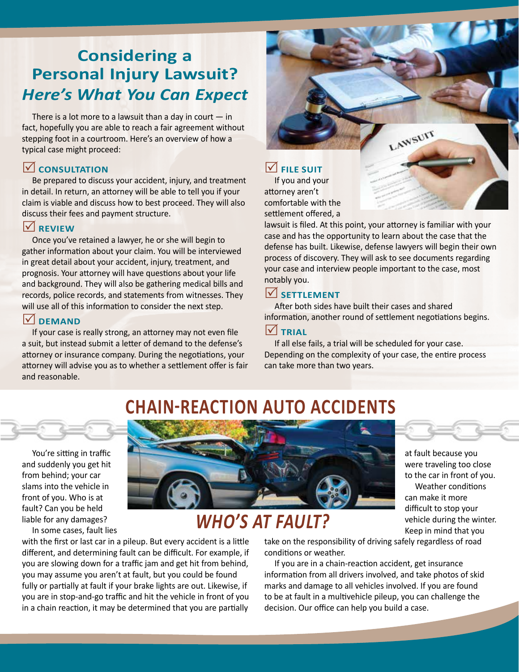# **Considering a Personal Injury Lawsuit?** *Here's What You Can Expect*

There is a lot more to a lawsuit than a day in court  $-$  in fact, hopefully you are able to reach a fair agreement without stepping foot in a courtroom. Here's an overview of how a typical case might proceed:

#### **CONSULTATION**

Be prepared to discuss your accident, injury, and treatment in detail. In return, an attorney will be able to tell you if your claim is viable and discuss how to best proceed. They will also discuss their fees and payment structure.

#### **REVIEW**

Once you've retained a lawyer, he or she will begin to gather information about your claim. You will be interviewed in great detail about your accident, injury, treatment, and prognosis. Your attorney will have questions about your life and background. They will also be gathering medical bills and records, police records, and statements from witnesses. They will use all of this information to consider the next step.

#### **DEMAND**

If your case is really strong, an attorney may not even file a suit, but instead submit a letter of demand to the defense's attorney or insurance company. During the negotiations, your attorney will advise you as to whether a settlement offer is fair and reasonable.



lawsuit is filed. At this point, your attorney is familiar with your case and has the opportunity to learn about the case that the defense has built. Likewise, defense lawyers will begin their own process of discovery. They will ask to see documents regarding your case and interview people important to the case, most notably you.

#### **SETTLEMENT**

After both sides have built their cases and shared information, another round of settlement negotiations begins.

#### **V** TRIAL

If all else fails, a trial will be scheduled for your case. Depending on the complexity of your case, the entire process can take more than two years.

> at fault because you were traveling too close to the car in front of you. Weather conditions

can make it more difficult to stop your vehicle during the winter. Keep in mind that you

# **CHAIN-REACTION AUTO ACCIDENTS**



You're sitting in traffic and suddenly you get hit from behind; your car slams into the vehicle in front of you. Who is at fault? Can you be held liable for any damages?

In some cases, fault lies



# *WHO'S AT FAULT?*

with the first or last car in a pileup. But every accident is a little different, and determining fault can be difficult. For example, if you are slowing down for a traffic jam and get hit from behind, you may assume you aren't at fault, but you could be found fully or partially at fault if your brake lights are out. Likewise, if you are in stop-and-go traffic and hit the vehicle in front of you in a chain reaction, it may be determined that you are partially

take on the responsibility of driving safely regardless of road conditions or weather.

If you are in a chain-reaction accident, get insurance information from all drivers involved, and take photos of skid marks and damage to all vehicles involved. If you are found to be at fault in a multivehicle pileup, you can challenge the decision. Our office can help you build a case.